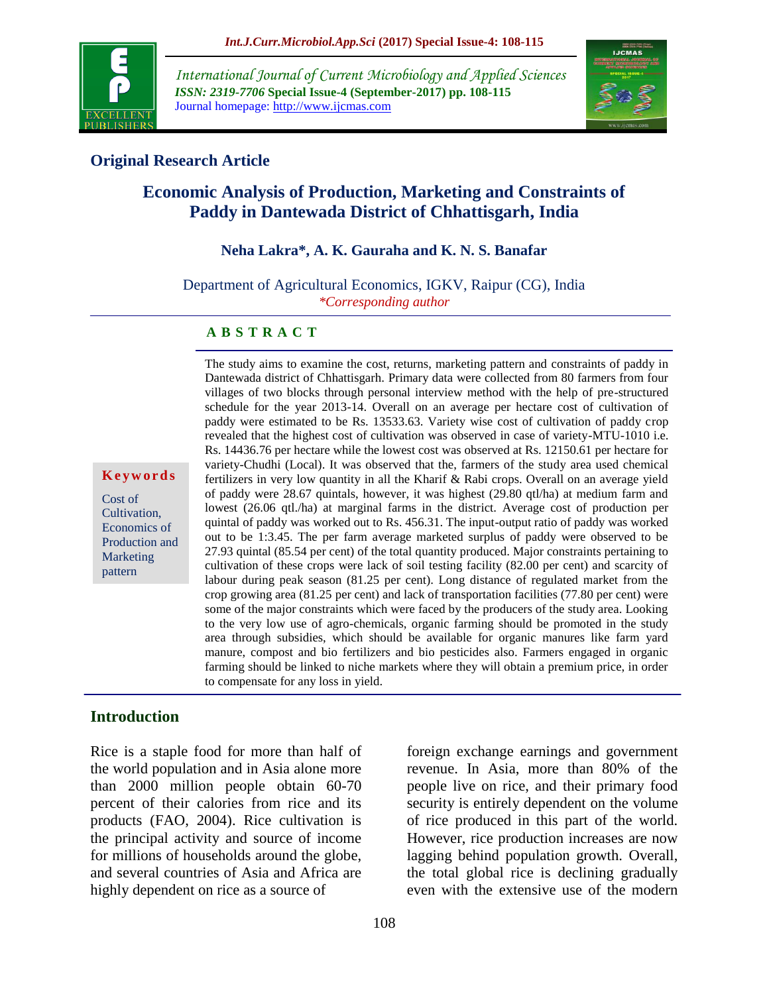

*International Journal of Current Microbiology and Applied Sciences ISSN: 2319-7706* **Special Issue-4 (September-2017) pp. 108-115** Journal homepage: http://www.ijcmas.com



## **Original Research Article**

# **Economic Analysis of Production, Marketing and Constraints of Paddy in Dantewada District of Chhattisgarh, India**

## **Neha Lakra\*, A. K. Gauraha and K. N. S. Banafar**

Department of Agricultural Economics, IGKV, Raipur (CG), India *\*Corresponding author*

#### **A B S T R A C T**

**K e y w o r d s**

Cost of Cultivation, Economics of Production and Marketing pattern

Dantewada district of Chhattisgarh. Primary data were collected from 80 farmers from four villages of two blocks through personal interview method with the help of pre-structured schedule for the year 2013-14. Overall on an average per hectare cost of cultivation of paddy were estimated to be Rs. 13533.63. Variety wise cost of cultivation of paddy crop revealed that the highest cost of cultivation was observed in case of variety-MTU-1010 i.e. Rs. 14436.76 per hectare while the lowest cost was observed at Rs. 12150.61 per hectare for variety-Chudhi (Local). It was observed that the, farmers of the study area used chemical fertilizers in very low quantity in all the Kharif & Rabi crops. Overall on an average yield of paddy were 28.67 quintals, however, it was highest (29.80 qtl/ha) at medium farm and lowest (26.06 qtl./ha) at marginal farms in the district. Average cost of production per quintal of paddy was worked out to Rs. 456.31. The input-output ratio of paddy was worked out to be 1:3.45. The per farm average marketed surplus of paddy were observed to be 27.93 quintal (85.54 per cent) of the total quantity produced. Major constraints pertaining to cultivation of these crops were lack of soil testing facility (82.00 per cent) and scarcity of labour during peak season (81.25 per cent). Long distance of regulated market from the crop growing area (81.25 per cent) and lack of transportation facilities (77.80 per cent) were some of the major constraints which were faced by the producers of the study area. Looking to the very low use of agro-chemicals, organic farming should be promoted in the study area through subsidies, which should be available for organic manures like farm yard manure, compost and bio fertilizers and bio pesticides also. Farmers engaged in organic farming should be linked to niche markets where they will obtain a premium price, in order to compensate for any loss in yield.

The study aims to examine the cost, returns, marketing pattern and constraints of paddy in

## **Introduction**

Rice is a staple food for more than half of the world population and in Asia alone more than 2000 million people obtain 60-70 percent of their calories from rice and its products (FAO, 2004). Rice cultivation is the principal activity and source of income for millions of households around the globe, and several countries of Asia and Africa are highly dependent on rice as a source of

foreign exchange earnings and government revenue. In Asia, more than 80% of the people live on rice, and their primary food security is entirely dependent on the volume of rice produced in this part of the world. However, rice production increases are now lagging behind population growth. Overall, the total global rice is declining gradually even with the extensive use of the modern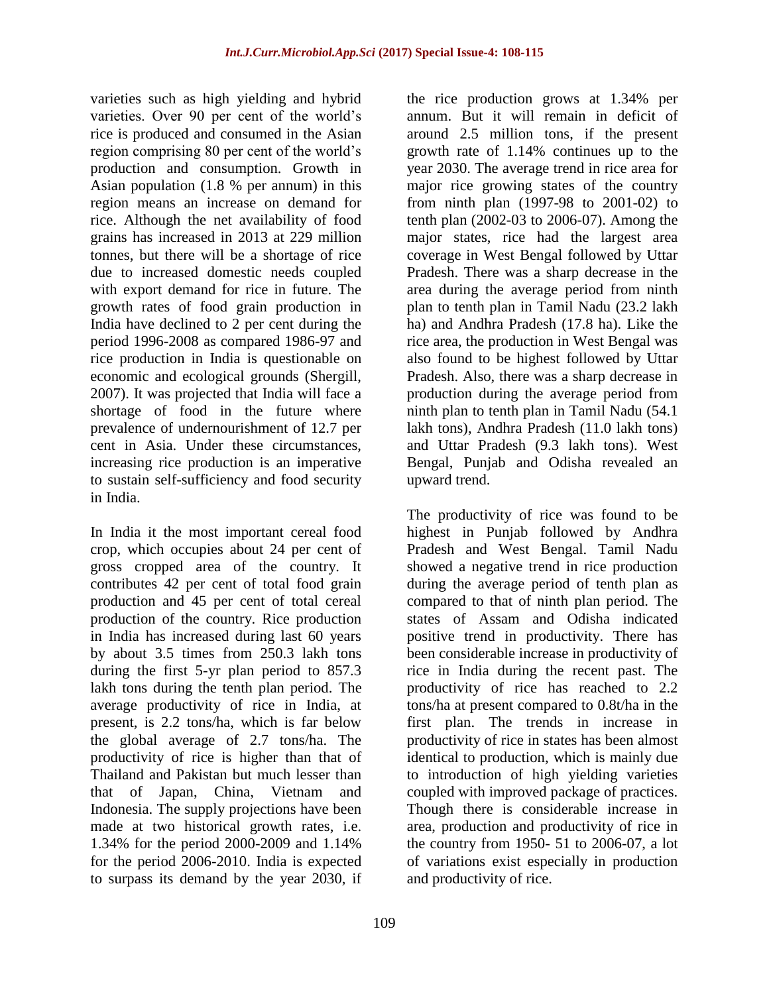varieties such as high yielding and hybrid varieties. Over 90 per cent of the world's rice is produced and consumed in the Asian region comprising 80 per cent of the world's production and consumption. Growth in Asian population (1.8 % per annum) in this region means an increase on demand for rice. Although the net availability of food grains has increased in 2013 at 229 million tonnes, but there will be a shortage of rice due to increased domestic needs coupled with export demand for rice in future. The growth rates of food grain production in India have declined to 2 per cent during the period 1996-2008 as compared 1986-97 and rice production in India is questionable on economic and ecological grounds (Shergill, 2007). It was projected that India will face a shortage of food in the future where prevalence of undernourishment of 12.7 per cent in Asia. Under these circumstances, increasing rice production is an imperative to sustain self-sufficiency and food security in India.

In India it the most important cereal food crop, which occupies about 24 per cent of gross cropped area of the country. It contributes 42 per cent of total food grain production and 45 per cent of total cereal production of the country. Rice production in India has increased during last 60 years by about 3.5 times from 250.3 lakh tons during the first 5-yr plan period to 857.3 lakh tons during the tenth plan period. The average productivity of rice in India, at present, is 2.2 tons/ha, which is far below the global average of 2.7 tons/ha. The productivity of rice is higher than that of Thailand and Pakistan but much lesser than that of Japan, China, Vietnam and Indonesia. The supply projections have been made at two historical growth rates, i.e. 1.34% for the period 2000-2009 and 1.14% for the period 2006-2010. India is expected to surpass its demand by the year 2030, if

the rice production grows at 1.34% per annum. But it will remain in deficit of around 2.5 million tons, if the present growth rate of 1.14% continues up to the year 2030. The average trend in rice area for major rice growing states of the country from ninth plan (1997-98 to 2001-02) to tenth plan (2002-03 to 2006-07). Among the major states, rice had the largest area coverage in West Bengal followed by Uttar Pradesh. There was a sharp decrease in the area during the average period from ninth plan to tenth plan in Tamil Nadu (23.2 lakh ha) and Andhra Pradesh (17.8 ha). Like the rice area, the production in West Bengal was also found to be highest followed by Uttar Pradesh. Also, there was a sharp decrease in production during the average period from ninth plan to tenth plan in Tamil Nadu (54.1 lakh tons), Andhra Pradesh (11.0 lakh tons) and Uttar Pradesh (9.3 lakh tons). West Bengal, Punjab and Odisha revealed an upward trend.

The productivity of rice was found to be highest in Punjab followed by Andhra Pradesh and West Bengal. Tamil Nadu showed a negative trend in rice production during the average period of tenth plan as compared to that of ninth plan period. The states of Assam and Odisha indicated positive trend in productivity. There has been considerable increase in productivity of rice in India during the recent past. The productivity of rice has reached to 2.2 tons/ha at present compared to 0.8t/ha in the first plan. The trends in increase in productivity of rice in states has been almost identical to production, which is mainly due to introduction of high yielding varieties coupled with improved package of practices. Though there is considerable increase in area, production and productivity of rice in the country from 1950- 51 to 2006-07, a lot of variations exist especially in production and productivity of rice.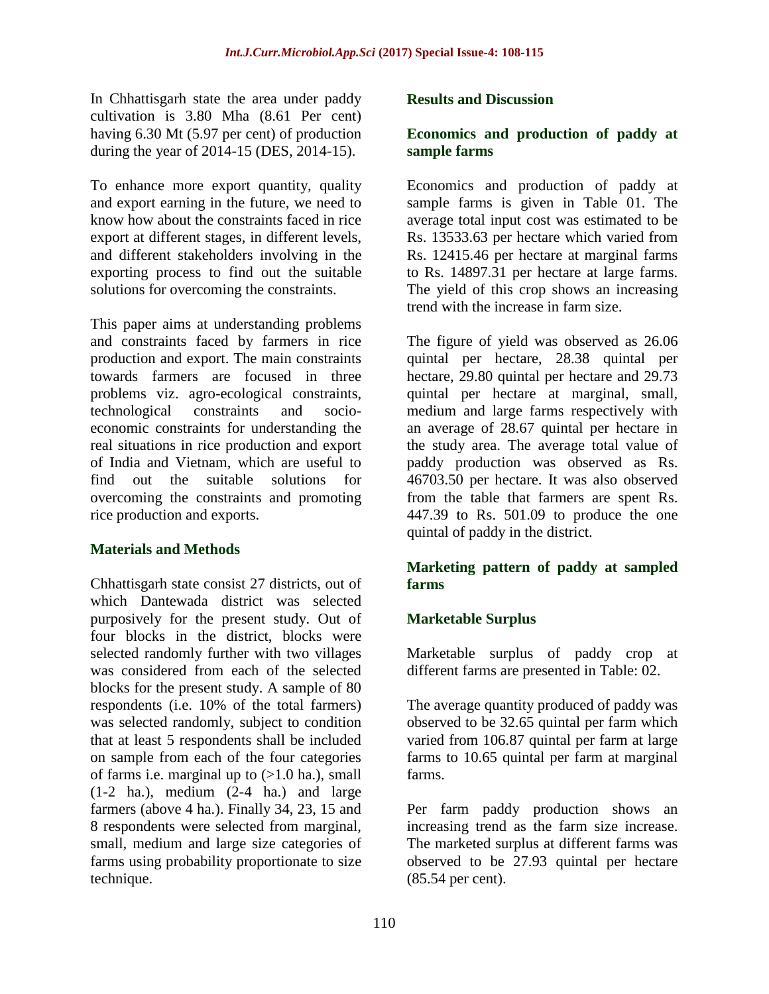In Chhattisgarh state the area under paddy cultivation is 3.80 Mha (8.61 Per cent) having 6.30 Mt (5.97 per cent) of production during the year of 2014-15 (DES, 2014-15).

To enhance more export quantity, quality and export earning in the future, we need to know how about the constraints faced in rice export at different stages, in different levels, and different stakeholders involving in the exporting process to find out the suitable solutions for overcoming the constraints.

This paper aims at understanding problems and constraints faced by farmers in rice production and export. The main constraints towards farmers are focused in three problems viz. agro-ecological constraints, technological constraints and socioeconomic constraints for understanding the real situations in rice production and export of India and Vietnam, which are useful to find out the suitable solutions for overcoming the constraints and promoting rice production and exports.

## **Materials and Methods**

Chhattisgarh state consist 27 districts, out of which Dantewada district was selected purposively for the present study. Out of four blocks in the district, blocks were selected randomly further with two villages was considered from each of the selected blocks for the present study. A sample of 80 respondents (i.e. 10% of the total farmers) was selected randomly, subject to condition that at least 5 respondents shall be included on sample from each of the four categories of farms i.e. marginal up to  $(>1.0$  ha.), small  $(1-2)$  ha.), medium  $(2-4)$  ha.) and large farmers (above 4 ha.). Finally 34, 23, 15 and 8 respondents were selected from marginal, small, medium and large size categories of farms using probability proportionate to size technique.

### **Results and Discussion**

### **Economics and production of paddy at sample farms**

Economics and production of paddy at sample farms is given in Table 01. The average total input cost was estimated to be Rs. 13533.63 per hectare which varied from Rs. 12415.46 per hectare at marginal farms to Rs. 14897.31 per hectare at large farms. The yield of this crop shows an increasing trend with the increase in farm size.

The figure of yield was observed as 26.06 quintal per hectare, 28.38 quintal per hectare, 29.80 quintal per hectare and 29.73 quintal per hectare at marginal, small, medium and large farms respectively with an average of 28.67 quintal per hectare in the study area. The average total value of paddy production was observed as Rs. 46703.50 per hectare. It was also observed from the table that farmers are spent Rs. 447.39 to Rs. 501.09 to produce the one quintal of paddy in the district.

## **Marketing pattern of paddy at sampled farms**

## **Marketable Surplus**

Marketable surplus of paddy crop at different farms are presented in Table: 02.

The average quantity produced of paddy was observed to be 32.65 quintal per farm which varied from 106.87 quintal per farm at large farms to 10.65 quintal per farm at marginal farms.

Per farm paddy production shows an increasing trend as the farm size increase. The marketed surplus at different farms was observed to be 27.93 quintal per hectare (85.54 per cent).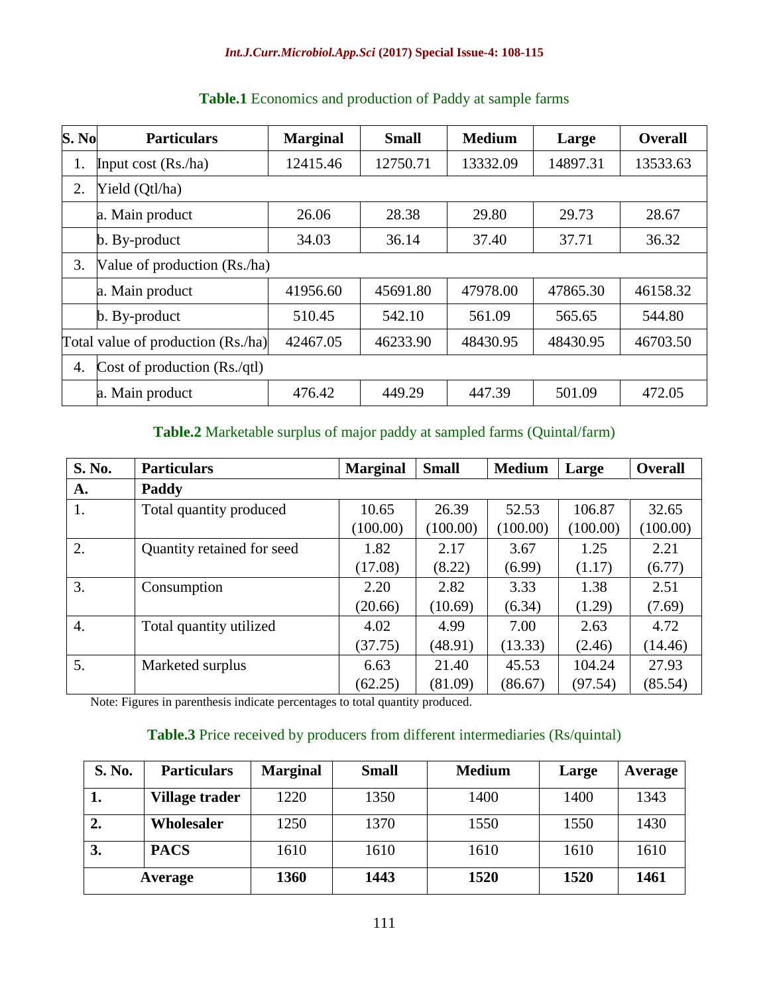#### *Int.J.Curr.Microbiol.App.Sci* **(2017) Special Issue-4: 108-115**

| S. No | <b>Particulars</b>                 | <b>Marginal</b> | <b>Small</b> | <b>Medium</b> | Large    | <b>Overall</b> |
|-------|------------------------------------|-----------------|--------------|---------------|----------|----------------|
| 1.    | Input cost $(Rsn/ha)$              | 12415.46        | 12750.71     | 13332.09      | 14897.31 | 13533.63       |
| 2.    | Yield (Qtl/ha)                     |                 |              |               |          |                |
|       | a. Main product                    | 26.06           | 28.38        | 29.80         | 29.73    | 28.67          |
|       | $\mathbf b$ . By-product           | 34.03           | 36.14        | 37.40         | 37.71    | 36.32          |
| 3.    | Value of production (Rs./ha)       |                 |              |               |          |                |
|       | a. Main product                    | 41956.60        | 45691.80     | 47978.00      | 47865.30 | 46158.32       |
|       | $\mathbf b$ . By-product           | 510.45          | 542.10       | 561.09        | 565.65   | 544.80         |
|       | Total value of production (Rs./ha) | 42467.05        | 46233.90     | 48430.95      | 48430.95 | 46703.50       |
| 4.    | Cost of production $(Rs./qtl)$     |                 |              |               |          |                |
|       | a. Main product                    | 476.42          | 449.29       | 447.39        | 501.09   | 472.05         |

# **Table.1** Economics and production of Paddy at sample farms

## **Table.2** Marketable surplus of major paddy at sampled farms (Quintal/farm)

| S. No.           | <b>Particulars</b>         | <b>Marginal</b> | <b>Small</b> | <b>Medium</b> | Large    | <b>Overall</b> |
|------------------|----------------------------|-----------------|--------------|---------------|----------|----------------|
| A.               | Paddy                      |                 |              |               |          |                |
| 1.               | Total quantity produced    | 10.65           | 26.39        | 52.53         | 106.87   | 32.65          |
|                  |                            | (100.00)        | (100.00)     | (100.00)      | (100.00) | (100.00)       |
| 2.               | Quantity retained for seed | 1.82            | 2.17         | 3.67          | 1.25     | 2.21           |
|                  |                            | (17.08)         | (8.22)       | (6.99)        | (1.17)   | (6.77)         |
| 3.               | Consumption                | 2.20            | 2.82         | 3.33          | 1.38     | 2.51           |
|                  |                            | (20.66)         | (10.69)      | (6.34)        | (1.29)   | (7.69)         |
| $\overline{4}$ . | Total quantity utilized    | 4.02            | 4.99         | 7.00          | 2.63     | 4.72           |
|                  |                            | (37.75)         | (48.91)      | (13.33)       | (2.46)   | (14.46)        |
| 5.               | Marketed surplus           | 6.63            | 21.40        | 45.53         | 104.24   | 27.93          |
|                  |                            | (62.25)         | (81.09)      | (86.67)       | (97.54)  | (85.54)        |

Note: Figures in parenthesis indicate percentages to total quantity produced.

## **Table.3** Price received by producers from different intermediaries (Rs/quintal)

| S. No. | <b>Particulars</b> | <b>Marginal</b> | <b>Small</b> | <b>Medium</b> | Large | Average |
|--------|--------------------|-----------------|--------------|---------------|-------|---------|
| ı.     | Village trader     | 1220            | 1350         | 1400          | 1400  | 1343    |
| 2.     | Wholesaler         | 1250            | 1370         | 1550          | 1550  | 1430    |
| 3.     | <b>PACS</b>        | 1610            | 1610         | 1610          | 1610  | 1610    |
|        | Average            | 1360            | 1443         | 1520          | 1520  | 1461    |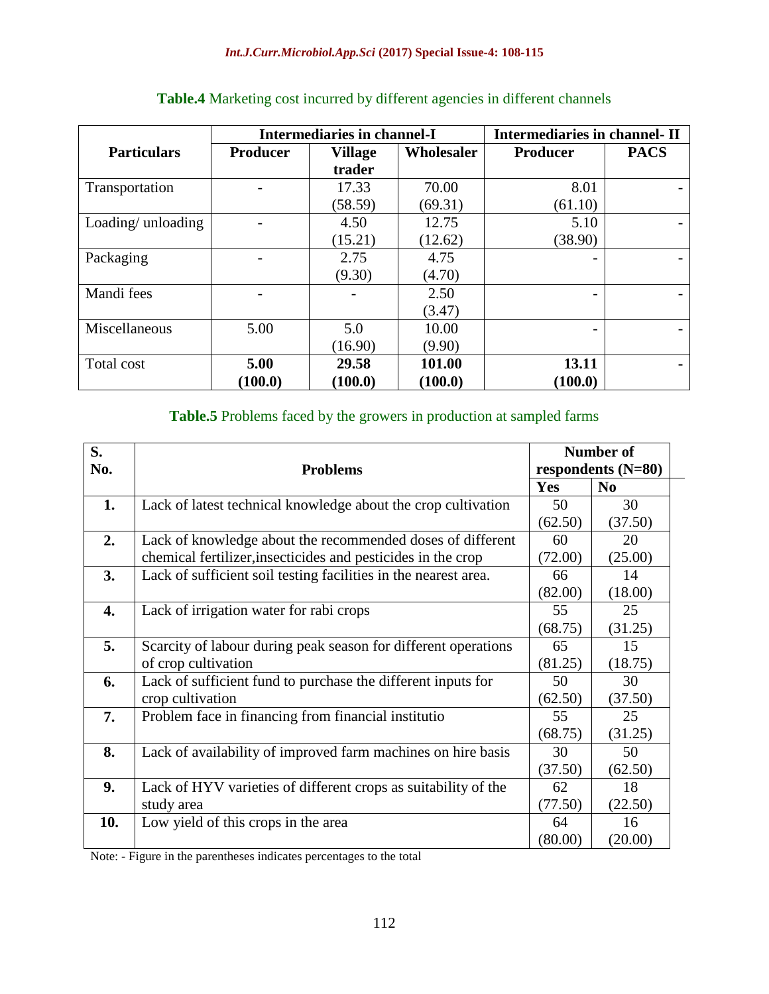|                    | <b>Intermediaries in channel-I</b> |                | <b>Intermediaries in channel-II</b> |                 |             |
|--------------------|------------------------------------|----------------|-------------------------------------|-----------------|-------------|
| <b>Particulars</b> | <b>Producer</b>                    | <b>Village</b> | Wholesaler                          | <b>Producer</b> | <b>PACS</b> |
|                    |                                    | trader         |                                     |                 |             |
| Transportation     |                                    | 17.33          | 70.00                               | 8.01            |             |
|                    |                                    | (58.59)        | (69.31)                             | (61.10)         |             |
| Loading/unloading  |                                    | 4.50           | 12.75                               | 5.10            |             |
|                    |                                    | (15.21)        | (12.62)                             | (38.90)         |             |
| Packaging          |                                    | 2.75           | 4.75                                |                 |             |
|                    |                                    | (9.30)         | (4.70)                              |                 |             |
| Mandi fees         |                                    |                | 2.50                                |                 |             |
|                    |                                    |                | (3.47)                              |                 |             |
| Miscellaneous      | 5.00                               | 5.0            | 10.00                               |                 |             |
|                    |                                    | (16.90)        | (9.90)                              |                 |             |
| Total cost         | 5.00                               | 29.58          | 101.00                              | 13.11           |             |
|                    | (100.0)                            | (100.0)        | (100.0)                             | (100.0)         |             |

## **Table.4** Marketing cost incurred by different agencies in different channels

## **Table.5** Problems faced by the growers in production at sampled farms

| S.<br>No. | <b>Problems</b>                                                 |         | <b>Number of</b><br>respondents $(N=80)$ |
|-----------|-----------------------------------------------------------------|---------|------------------------------------------|
|           |                                                                 | Yes     | N <sub>0</sub>                           |
| 1.        | Lack of latest technical knowledge about the crop cultivation   | 50      | 30                                       |
|           |                                                                 | (62.50) | (37.50)                                  |
| 2.        | Lack of knowledge about the recommended doses of different      | 60      | 20                                       |
|           | chemical fertilizer, insecticides and pesticides in the crop    | (72.00) | (25.00)                                  |
| 3.        | Lack of sufficient soil testing facilities in the nearest area. | 66      | 14                                       |
|           |                                                                 | (82.00) | (18.00)                                  |
| 4.        | Lack of irrigation water for rabi crops                         | 55      | 25                                       |
|           |                                                                 | (68.75) | (31.25)                                  |
| 5.        | Scarcity of labour during peak season for different operations  | 65      | 15                                       |
|           | of crop cultivation                                             | (81.25) | (18.75)                                  |
| 6.        | Lack of sufficient fund to purchase the different inputs for    | 50      | 30                                       |
|           | crop cultivation                                                | (62.50) | (37.50)                                  |
| 7.        | Problem face in financing from financial institutio             | 55      | 25                                       |
|           |                                                                 | (68.75) | (31.25)                                  |
| 8.        | Lack of availability of improved farm machines on hire basis    | 30      | 50                                       |
|           |                                                                 | (37.50) | (62.50)                                  |
| 9.        | Lack of HYV varieties of different crops as suitability of the  | 62      | 18                                       |
|           | study area                                                      | (77.50) | (22.50)                                  |
| 10.       | Low yield of this crops in the area                             | 64      | 16                                       |
|           |                                                                 | (80.00) | (20.00)                                  |

Note: - Figure in the parentheses indicates percentages to the total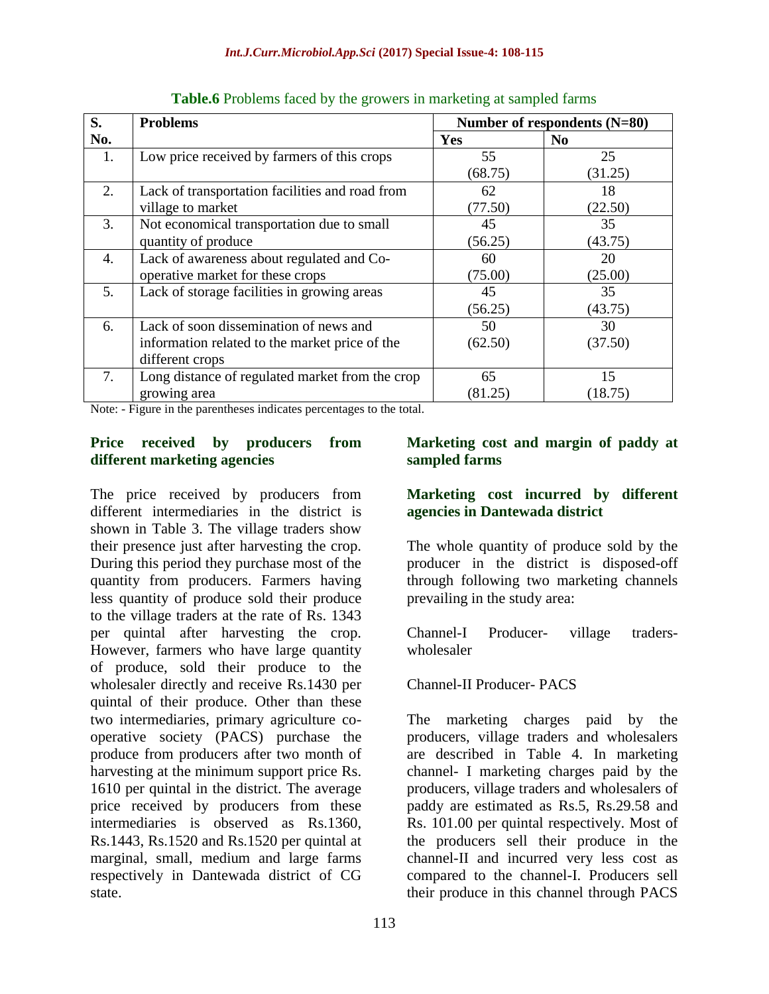| S.  | <b>Problems</b>                                 | Number of respondents (N=80) |                |  |
|-----|-------------------------------------------------|------------------------------|----------------|--|
| No. |                                                 | Yes                          | N <sub>0</sub> |  |
| 1.  | Low price received by farmers of this crops     | 55                           | 25             |  |
|     |                                                 | (68.75)                      | (31.25)        |  |
| 2.  | Lack of transportation facilities and road from | 62                           | 18             |  |
|     | village to market                               | (77.50)                      | (22.50)        |  |
| 3.  | Not economical transportation due to small      | 45                           | 35             |  |
|     | quantity of produce                             | (56.25)                      | (43.75)        |  |
| 4.  | Lack of awareness about regulated and Co-       | 60                           | 20             |  |
|     | operative market for these crops                | (75.00)                      | (25.00)        |  |
| 5.  | Lack of storage facilities in growing areas     | 45                           | 35             |  |
|     |                                                 | (56.25)                      | (43.75)        |  |
| 6.  | Lack of soon dissemination of news and          | 50                           | 30             |  |
|     | information related to the market price of the  | (62.50)                      | (37.50)        |  |
|     | different crops                                 |                              |                |  |
| 7.  | Long distance of regulated market from the crop | 65                           | 15             |  |
|     | growing area                                    | (81.25)                      | (18.75)        |  |

**Table.6** Problems faced by the growers in marketing at sampled farms

Note: - Figure in the parentheses indicates percentages to the total.

### **Price received by producers from different marketing agencies**

The price received by producers from different intermediaries in the district is shown in Table 3. The village traders show their presence just after harvesting the crop. During this period they purchase most of the quantity from producers. Farmers having less quantity of produce sold their produce to the village traders at the rate of Rs. 1343 per quintal after harvesting the crop. However, farmers who have large quantity of produce, sold their produce to the wholesaler directly and receive Rs.1430 per quintal of their produce. Other than these two intermediaries, primary agriculture cooperative society (PACS) purchase the produce from producers after two month of harvesting at the minimum support price Rs. 1610 per quintal in the district. The average price received by producers from these intermediaries is observed as Rs.1360, Rs.1443, Rs.1520 and Rs.1520 per quintal at marginal, small, medium and large farms respectively in Dantewada district of CG state.

## **Marketing cost and margin of paddy at sampled farms**

## **Marketing cost incurred by different agencies in Dantewada district**

The whole quantity of produce sold by the producer in the district is disposed-off through following two marketing channels prevailing in the study area:

Channel-I Producer- village traderswholesaler

Channel-II Producer- PACS

The marketing charges paid by the producers, village traders and wholesalers are described in Table 4. In marketing channel- I marketing charges paid by the producers, village traders and wholesalers of paddy are estimated as Rs.5, Rs.29.58 and Rs. 101.00 per quintal respectively. Most of the producers sell their produce in the channel-II and incurred very less cost as compared to the channel-I. Producers sell their produce in this channel through PACS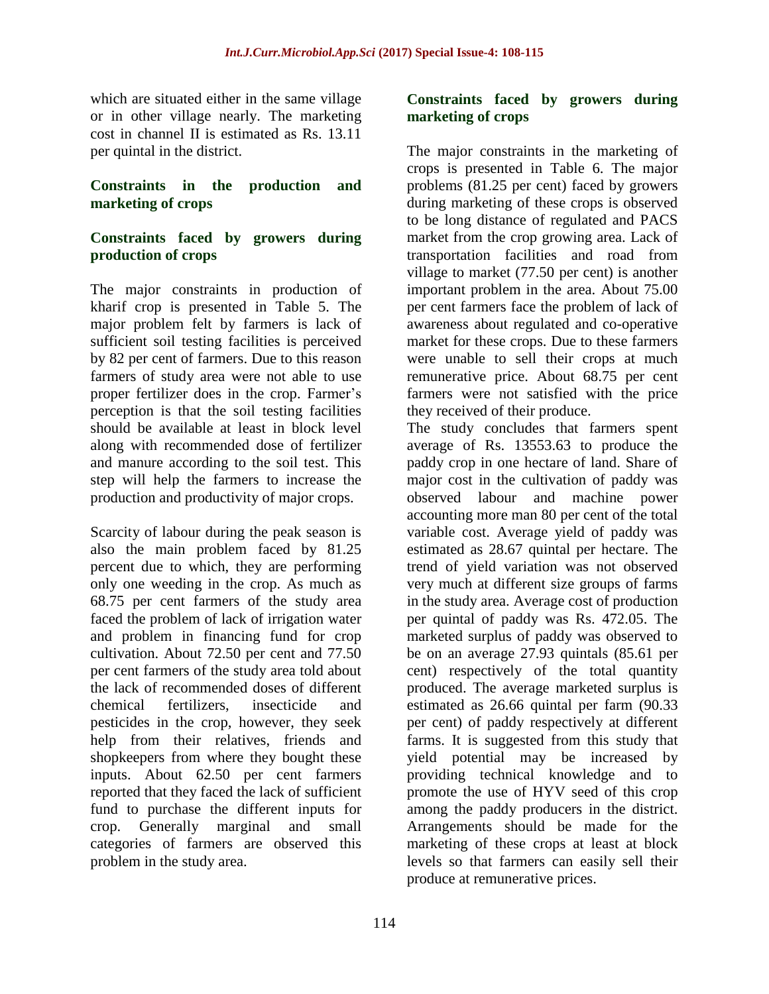which are situated either in the same village or in other village nearly. The marketing cost in channel II is estimated as Rs. 13.11 per quintal in the district.

### **Constraints in the production and marketing of crops**

## **Constraints faced by growers during production of crops**

The major constraints in production of kharif crop is presented in Table 5. The major problem felt by farmers is lack of sufficient soil testing facilities is perceived by 82 per cent of farmers. Due to this reason farmers of study area were not able to use proper fertilizer does in the crop. Farmer's perception is that the soil testing facilities should be available at least in block level along with recommended dose of fertilizer and manure according to the soil test. This step will help the farmers to increase the production and productivity of major crops.

Scarcity of labour during the peak season is also the main problem faced by 81.25 percent due to which, they are performing only one weeding in the crop. As much as 68.75 per cent farmers of the study area faced the problem of lack of irrigation water and problem in financing fund for crop cultivation. About 72.50 per cent and 77.50 per cent farmers of the study area told about the lack of recommended doses of different chemical fertilizers, insecticide and pesticides in the crop, however, they seek help from their relatives, friends and shopkeepers from where they bought these inputs. About 62.50 per cent farmers reported that they faced the lack of sufficient fund to purchase the different inputs for crop. Generally marginal and small categories of farmers are observed this problem in the study area.

#### **Constraints faced by growers during marketing of crops**

The major constraints in the marketing of crops is presented in Table 6. The major problems (81.25 per cent) faced by growers during marketing of these crops is observed to be long distance of regulated and PACS market from the crop growing area. Lack of transportation facilities and road from village to market (77.50 per cent) is another important problem in the area. About 75.00 per cent farmers face the problem of lack of awareness about regulated and co-operative market for these crops. Due to these farmers were unable to sell their crops at much remunerative price. About 68.75 per cent farmers were not satisfied with the price they received of their produce.

The study concludes that farmers spent average of Rs. 13553.63 to produce the paddy crop in one hectare of land. Share of major cost in the cultivation of paddy was observed labour and machine power accounting more man 80 per cent of the total variable cost. Average yield of paddy was estimated as 28.67 quintal per hectare. The trend of yield variation was not observed very much at different size groups of farms in the study area. Average cost of production per quintal of paddy was Rs. 472.05. The marketed surplus of paddy was observed to be on an average 27.93 quintals (85.61 per cent) respectively of the total quantity produced. The average marketed surplus is estimated as 26.66 quintal per farm (90.33 per cent) of paddy respectively at different farms. It is suggested from this study that yield potential may be increased by providing technical knowledge and to promote the use of HYV seed of this crop among the paddy producers in the district. Arrangements should be made for the marketing of these crops at least at block levels so that farmers can easily sell their produce at remunerative prices.